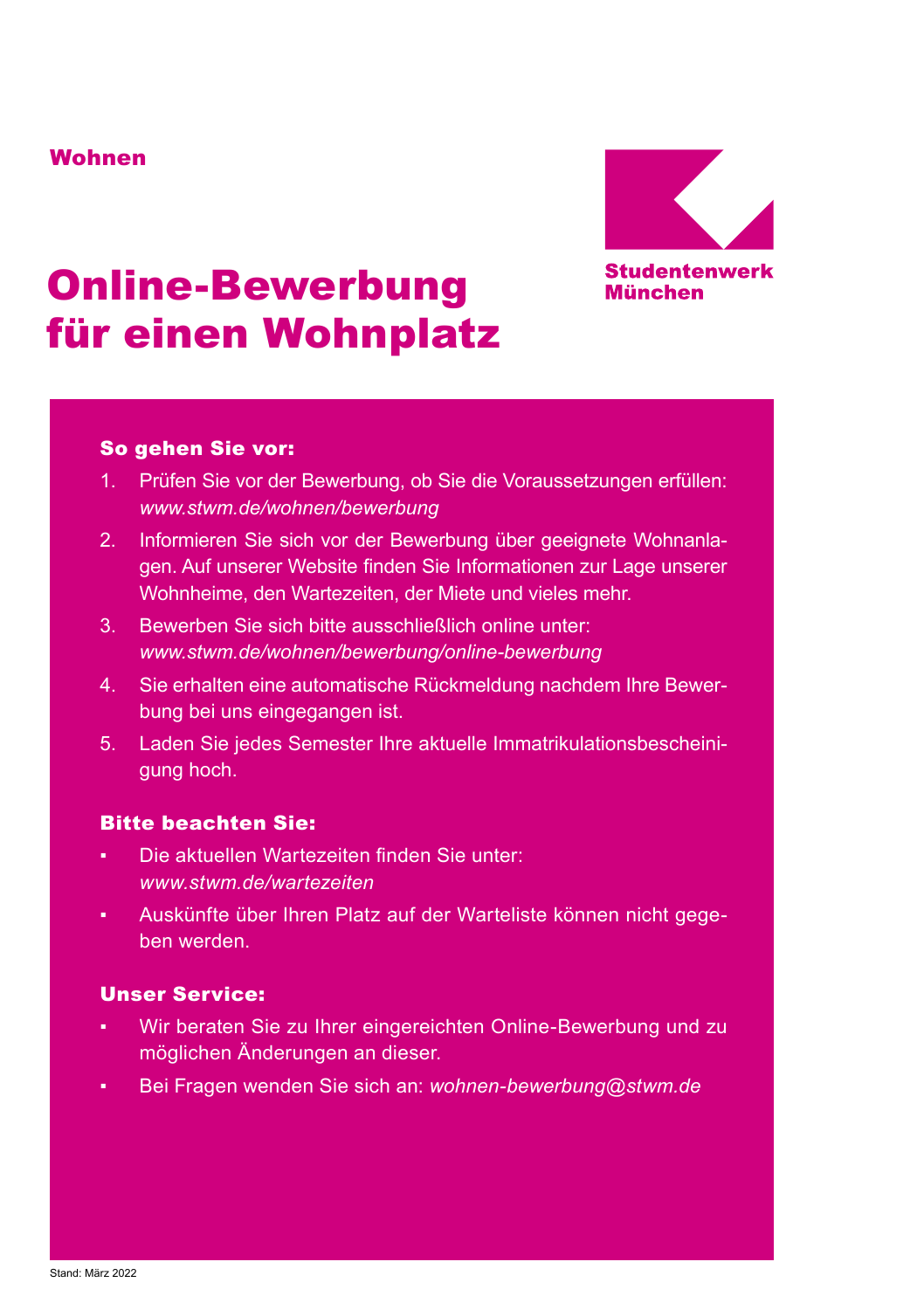## Wohnen



# Online-Bewerbung für einen Wohnplatz

## So gehen Sie vor:

- 1. Prüfen Sie vor der Bewerbung, ob Sie die Voraussetzungen erfüllen: *[www.stwm.de/wohnen/bewerbung](http://www.stwm.de/wohnen/bewerbung)*
- 2. Informieren Sie sich vor der Bewerbung über geeignete Wohnanlagen. Auf unserer Website finden Sie Informationen zur Lage unserer Wohnheime, den Wartezeiten, der Miete und vieles mehr.
- 3. Bewerben Sie sich bitte ausschließlich online unter: *[www.stwm.de/wohnen/bewerbung/online-bewerbung](http://www.stwm.de/wohnen/bewerbung/online-bewerbung)*
- 4. Sie erhalten eine automatische Rückmeldung nachdem Ihre Bewerbung bei uns eingegangen ist.
- 5. Laden Sie jedes Semester Ihre aktuelle Immatrikulationsbescheinigung hoch.

## Bitte beachten Sie:

- Die aktuellen Wartezeiten finden Sie unter: *[www.stwm.de/wartezeiten](http://www.stwm.de/wartezeiten)*
- Auskünfte über Ihren Platz auf der Warteliste können nicht gegeben werden.

## Unser Service:

- Wir beraten Sie zu Ihrer eingereichten Online-Bewerbung und zu möglichen Änderungen an dieser.
- Bei Fragen wenden Sie sich an: *[wohnen-bewerbung@stwm.de](mailto:wohnen-bewerbung@stwm.de)*